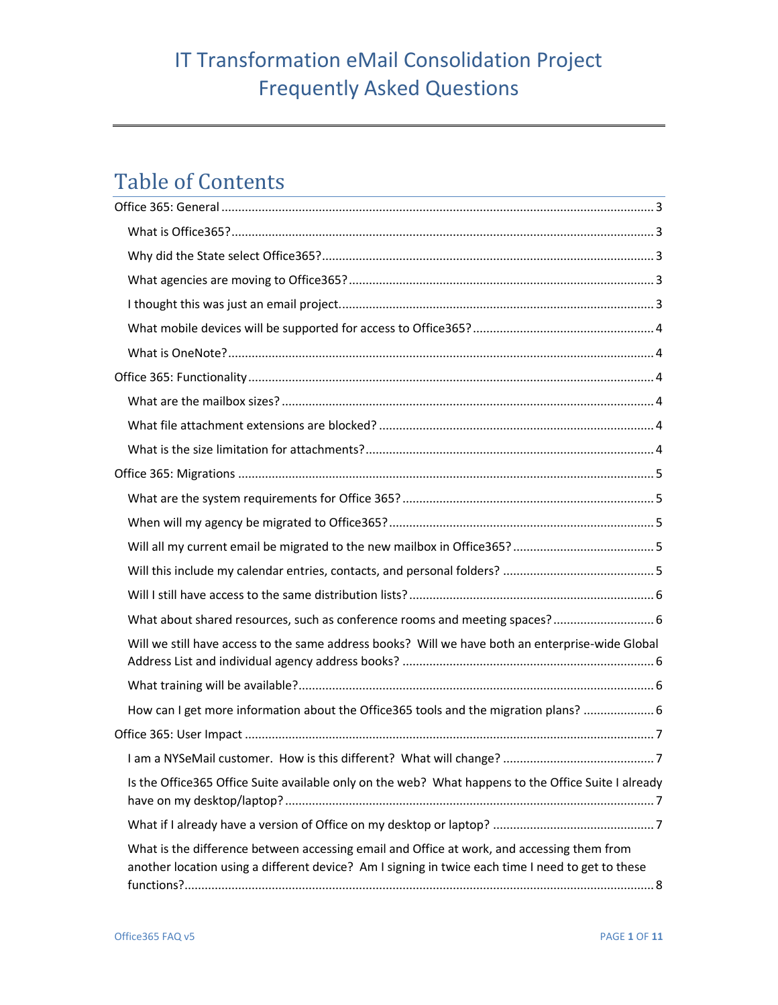# Table of Contents

| What about shared resources, such as conference rooms and meeting spaces?  6                                                                                                                    |  |
|-------------------------------------------------------------------------------------------------------------------------------------------------------------------------------------------------|--|
| Will we still have access to the same address books? Will we have both an enterprise-wide Global                                                                                                |  |
|                                                                                                                                                                                                 |  |
| How can I get more information about the Office365 tools and the migration plans?  6                                                                                                            |  |
|                                                                                                                                                                                                 |  |
|                                                                                                                                                                                                 |  |
| Is the Office365 Office Suite available only on the web? What happens to the Office Suite I already                                                                                             |  |
|                                                                                                                                                                                                 |  |
| What is the difference between accessing email and Office at work, and accessing them from<br>another location using a different device? Am I signing in twice each time I need to get to these |  |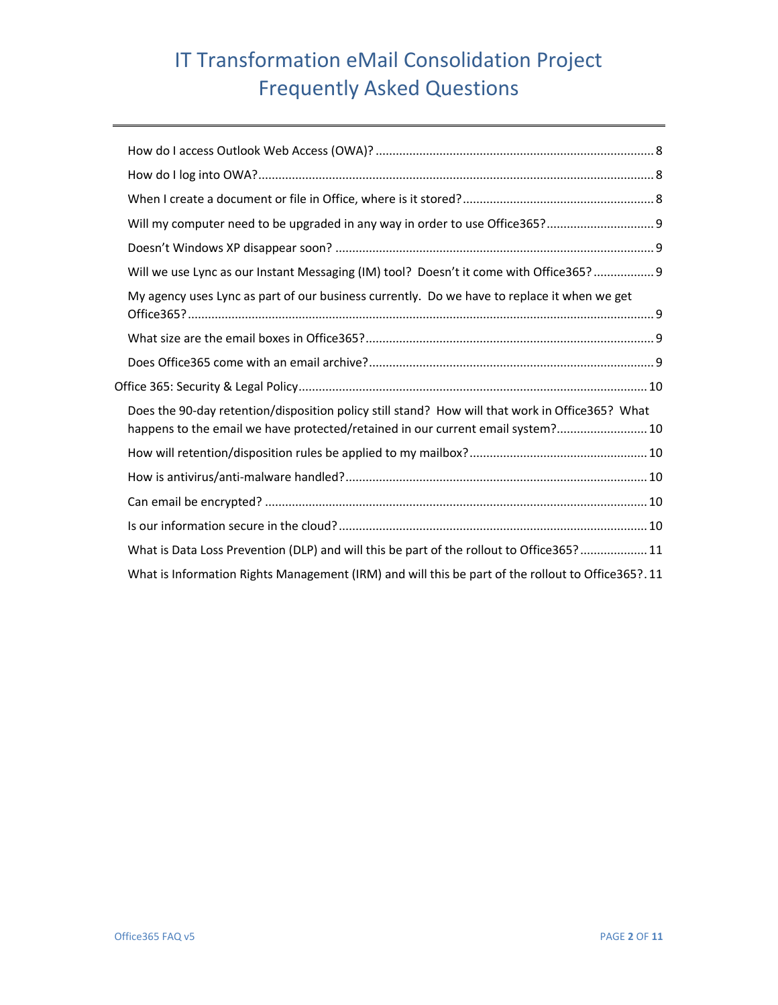| Will my computer need to be upgraded in any way in order to use Office365? 9                                                                                                       |
|------------------------------------------------------------------------------------------------------------------------------------------------------------------------------------|
|                                                                                                                                                                                    |
| Will we use Lync as our Instant Messaging (IM) tool? Doesn't it come with Office365?  9                                                                                            |
| My agency uses Lync as part of our business currently. Do we have to replace it when we get                                                                                        |
|                                                                                                                                                                                    |
|                                                                                                                                                                                    |
|                                                                                                                                                                                    |
| Does the 90-day retention/disposition policy still stand? How will that work in Office365? What<br>happens to the email we have protected/retained in our current email system? 10 |
|                                                                                                                                                                                    |
|                                                                                                                                                                                    |
|                                                                                                                                                                                    |
|                                                                                                                                                                                    |
| What is Data Loss Prevention (DLP) and will this be part of the rollout to Office365?  11                                                                                          |
| What is Information Rights Management (IRM) and will this be part of the rollout to Office365?. 11                                                                                 |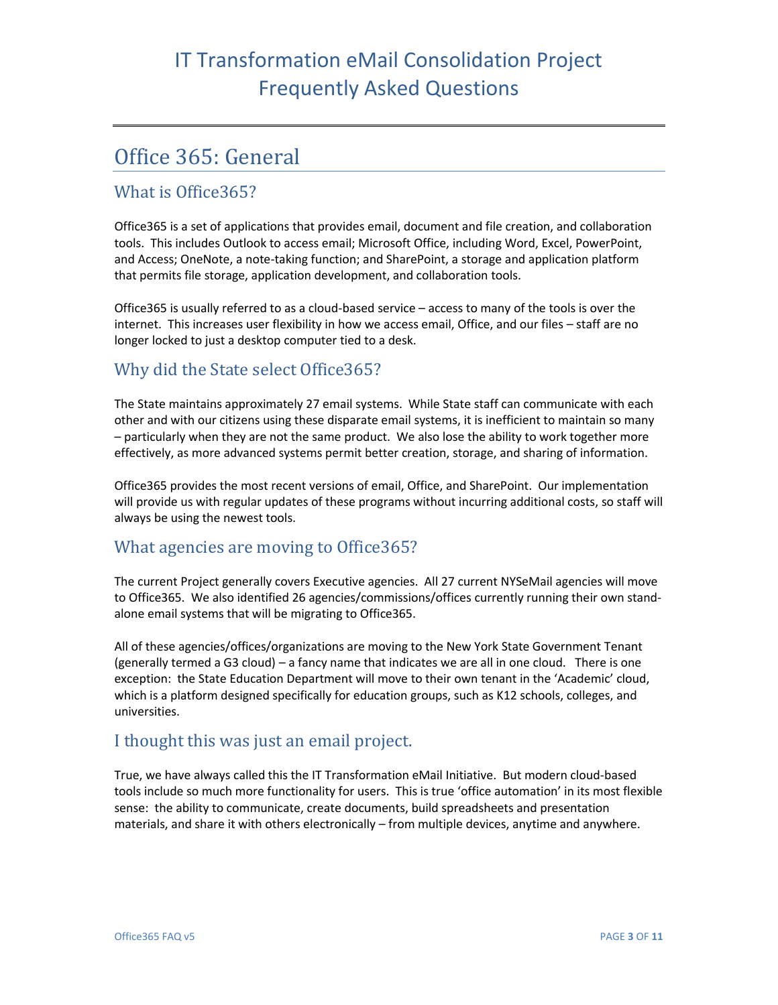## <span id="page-2-0"></span>Office 365: General

#### <span id="page-2-1"></span>What is Office365?

Office365 is a set of applications that provides email, document and file creation, and collaboration tools. This includes Outlook to access email; Microsoft Office, including Word, Excel, PowerPoint, and Access; OneNote, a note-taking function; and SharePoint, a storage and application platform that permits file storage, application development, and collaboration tools.

Office365 is usually referred to as a cloud-based service – access to many of the tools is over the internet. This increases user flexibility in how we access email, Office, and our files – staff are no longer locked to just a desktop computer tied to a desk.

### <span id="page-2-2"></span>Why did the State select Office365?

The State maintains approximately 27 email systems. While State staff can communicate with each other and with our citizens using these disparate email systems, it is inefficient to maintain so many – particularly when they are not the same product. We also lose the ability to work together more effectively, as more advanced systems permit better creation, storage, and sharing of information.

Office365 provides the most recent versions of email, Office, and SharePoint. Our implementation will provide us with regular updates of these programs without incurring additional costs, so staff will always be using the newest tools.

#### <span id="page-2-3"></span>What agencies are moving to Office365?

The current Project generally covers Executive agencies. All 27 current NYSeMail agencies will move to Office365. We also identified 26 agencies/commissions/offices currently running their own standalone email systems that will be migrating to Office365.

All of these agencies/offices/organizations are moving to the New York State Government Tenant (generally termed a G3 cloud) – a fancy name that indicates we are all in one cloud. There is one exception: the State Education Department will move to their own tenant in the 'Academic' cloud, which is a platform designed specifically for education groups, such as K12 schools, colleges, and universities.

### <span id="page-2-4"></span>I thought this was just an email project.

True, we have always called this the IT Transformation eMail Initiative. But modern cloud-based tools include so much more functionality for users. This is true 'office automation' in its most flexible sense: the ability to communicate, create documents, build spreadsheets and presentation materials, and share it with others electronically – from multiple devices, anytime and anywhere.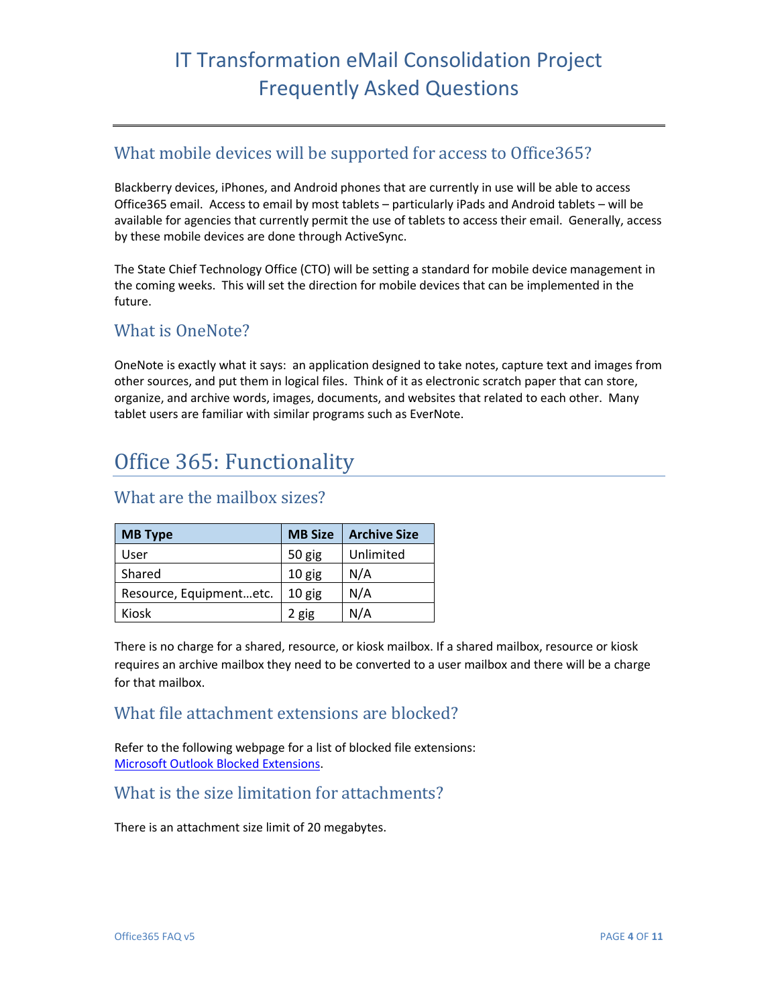### <span id="page-3-0"></span>What mobile devices will be supported for access to Office365?

Blackberry devices, iPhones, and Android phones that are currently in use will be able to access Office365 email. Access to email by most tablets – particularly iPads and Android tablets – will be available for agencies that currently permit the use of tablets to access their email. Generally, access by these mobile devices are done through ActiveSync.

The State Chief Technology Office (CTO) will be setting a standard for mobile device management in the coming weeks. This will set the direction for mobile devices that can be implemented in the future.

#### <span id="page-3-1"></span>What is OneNote?

OneNote is exactly what it says: an application designed to take notes, capture text and images from other sources, and put them in logical files. Think of it as electronic scratch paper that can store, organize, and archive words, images, documents, and websites that related to each other. Many tablet users are familiar with similar programs such as EverNote.

## <span id="page-3-2"></span>Office 365: Functionality

### **MB Type MB Size Archive Size** User | 50 gig | Unlimited Shared 10 gig N/A Resource, Equipment...etc.  $\vert$  10 gig  $\vert$  N/A Kiosk | 2 gig | N/A

#### <span id="page-3-3"></span>What are the mailbox sizes?

There is no charge for a shared, resource, or kiosk mailbox. If a shared mailbox, resource or kiosk requires an archive mailbox they need to be converted to a user mailbox and there will be a charge for that mailbox.

#### <span id="page-3-4"></span>What file attachment extensions are blocked?

Refer to the following webpage for a list of blocked file extensions: [Microsoft Outlook Blocked Extensions.](http://office.microsoft.com/en-us/outlook-help/blocked-attachments-in-outlook-HA102749484.aspx#_Attachment_file_types)

#### <span id="page-3-5"></span>What is the size limitation for attachments?

There is an attachment size limit of 20 megabytes.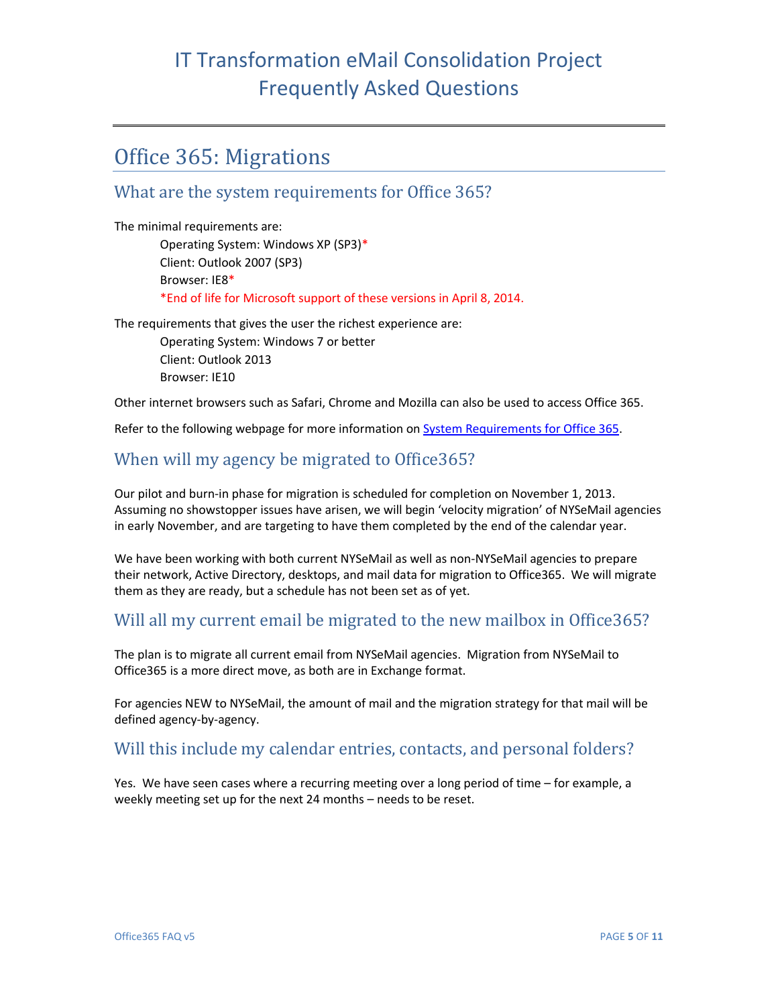## <span id="page-4-0"></span>Office 365: Migrations

#### <span id="page-4-1"></span>What are the system requirements for Office 365?

The minimal requirements are: Operating System: Windows XP (SP3)\* Client: Outlook 2007 (SP3) Browser: IE8\* \*End of life for Microsoft support of these versions in April 8, 2014.

The requirements that gives the user the richest experience are:

Operating System: Windows 7 or better Client: Outlook 2013 Browser: IE10

Other internet browsers such as Safari, Chrome and Mozilla can also be used to access Office 365.

Refer to the following webpage for more information on [System Requirements for Office 365.](http://office.microsoft.com/en-us/office365-suite-help/software-requirements-for-office-365-for-business-HA102817357.aspx)

### <span id="page-4-2"></span>When will my agency be migrated to Office365?

Our pilot and burn-in phase for migration is scheduled for completion on November 1, 2013. Assuming no showstopper issues have arisen, we will begin 'velocity migration' of NYSeMail agencies in early November, and are targeting to have them completed by the end of the calendar year.

We have been working with both current NYSeMail as well as non-NYSeMail agencies to prepare their network, Active Directory, desktops, and mail data for migration to Office365. We will migrate them as they are ready, but a schedule has not been set as of yet.

### <span id="page-4-3"></span>Will all my current email be migrated to the new mailbox in Office365?

The plan is to migrate all current email from NYSeMail agencies. Migration from NYSeMail to Office365 is a more direct move, as both are in Exchange format.

For agencies NEW to NYSeMail, the amount of mail and the migration strategy for that mail will be defined agency-by-agency.

### <span id="page-4-4"></span>Will this include my calendar entries, contacts, and personal folders?

Yes. We have seen cases where a recurring meeting over a long period of time – for example, a weekly meeting set up for the next 24 months – needs to be reset.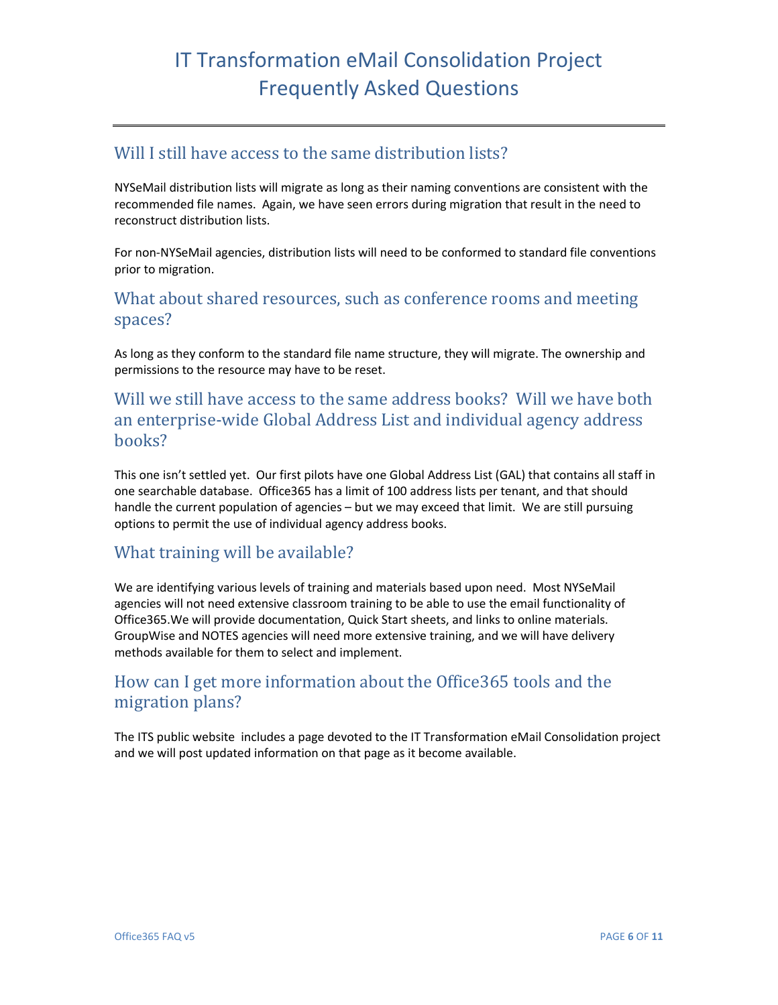### <span id="page-5-0"></span>Will I still have access to the same distribution lists?

NYSeMail distribution lists will migrate as long as their naming conventions are consistent with the recommended file names. Again, we have seen errors during migration that result in the need to reconstruct distribution lists.

For non-NYSeMail agencies, distribution lists will need to be conformed to standard file conventions prior to migration.

#### <span id="page-5-1"></span>What about shared resources, such as conference rooms and meeting spaces?

As long as they conform to the standard file name structure, they will migrate. The ownership and permissions to the resource may have to be reset.

<span id="page-5-2"></span>Will we still have access to the same address books? Will we have both an enterprise-wide Global Address List and individual agency address books?

This one isn't settled yet. Our first pilots have one Global Address List (GAL) that contains all staff in one searchable database. Office365 has a limit of 100 address lists per tenant, and that should handle the current population of agencies – but we may exceed that limit. We are still pursuing options to permit the use of individual agency address books.

### <span id="page-5-3"></span>What training will be available?

We are identifying various levels of training and materials based upon need. Most NYSeMail agencies will not need extensive classroom training to be able to use the email functionality of Office365.We will provide documentation, Quick Start sheets, and links to online materials. GroupWise and NOTES agencies will need more extensive training, and we will have delivery methods available for them to select and implement.

### <span id="page-5-4"></span>How can I get more information about the Office365 tools and the migration plans?

The ITS public website includes a page devoted to the IT Transformation eMail Consolidation project and we will post updated information on that page as it become available.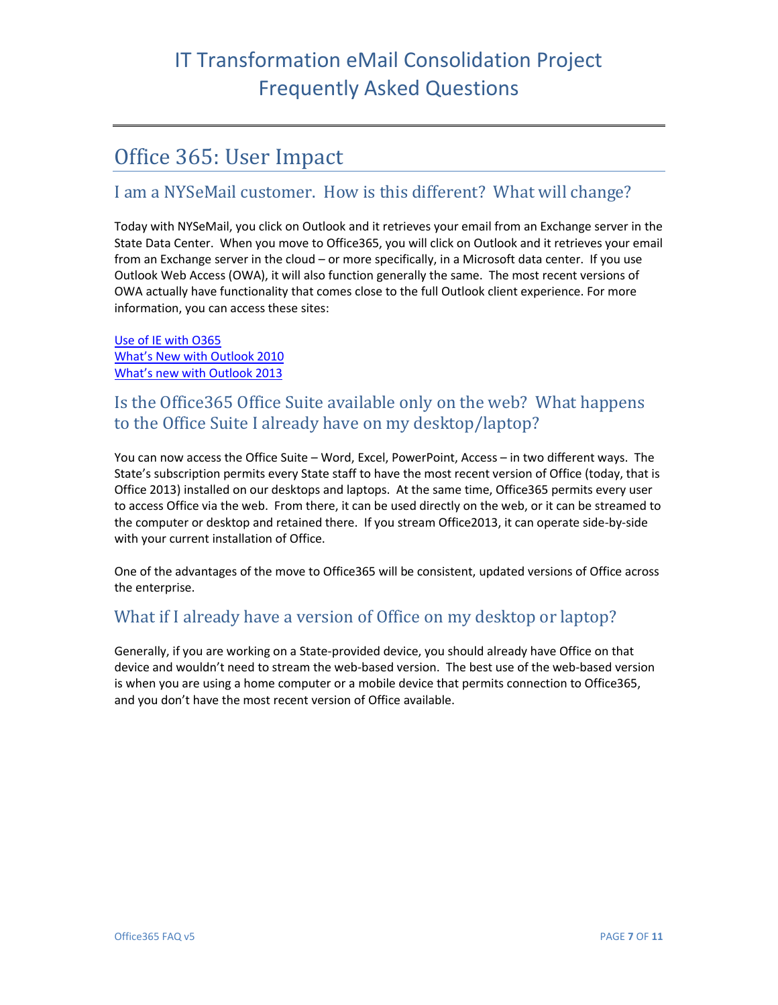## <span id="page-6-0"></span>Office 365: User Impact

### <span id="page-6-1"></span>I am a NYSeMail customer. How is this different? What will change?

Today with NYSeMail, you click on Outlook and it retrieves your email from an Exchange server in the State Data Center. When you move to Office365, you will click on Outlook and it retrieves your email from an Exchange server in the cloud – or more specifically, in a Microsoft data center. If you use Outlook Web Access (OWA), it will also function generally the same. The most recent versions of OWA actually have functionality that comes close to the full Outlook client experience. For more information, you can access these sites:

[Use of IE with O365](http://office.microsoft.com/en-us/office365-suite-help/using-internet-explorer-with-office-365-HA103934079.aspx?CTT=5&origin=HA103132722) [What's New with Outlook 2010](http://technet.microsoft.com/en-us/library/cc179110.aspx) [What's new with Outlook 2013](http://office.microsoft.com/en-us/outlook-help/what-s-new-in-outlook-2013-HA102606408.aspx)

### <span id="page-6-2"></span>Is the Office365 Office Suite available only on the web? What happens to the Office Suite I already have on my desktop/laptop?

You can now access the Office Suite – Word, Excel, PowerPoint, Access – in two different ways. The State's subscription permits every State staff to have the most recent version of Office (today, that is Office 2013) installed on our desktops and laptops. At the same time, Office365 permits every user to access Office via the web. From there, it can be used directly on the web, or it can be streamed to the computer or desktop and retained there. If you stream Office2013, it can operate side-by-side with your current installation of Office.

One of the advantages of the move to Office365 will be consistent, updated versions of Office across the enterprise.

### <span id="page-6-3"></span>What if I already have a version of Office on my desktop or laptop?

Generally, if you are working on a State-provided device, you should already have Office on that device and wouldn't need to stream the web-based version. The best use of the web-based version is when you are using a home computer or a mobile device that permits connection to Office365, and you don't have the most recent version of Office available.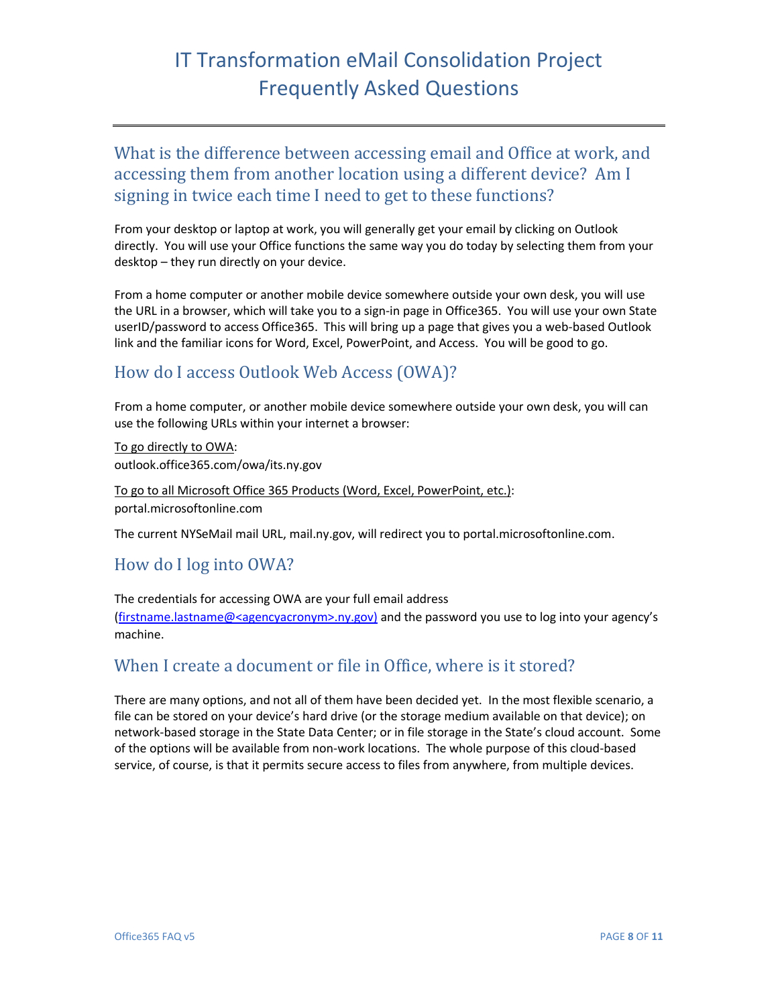<span id="page-7-0"></span>What is the difference between accessing email and Office at work, and accessing them from another location using a different device? Am I signing in twice each time I need to get to these functions?

From your desktop or laptop at work, you will generally get your email by clicking on Outlook directly. You will use your Office functions the same way you do today by selecting them from your desktop – they run directly on your device.

From a home computer or another mobile device somewhere outside your own desk, you will use the URL in a browser, which will take you to a sign-in page in Office365. You will use your own State userID/password to access Office365. This will bring up a page that gives you a web-based Outlook link and the familiar icons for Word, Excel, PowerPoint, and Access. You will be good to go.

### <span id="page-7-1"></span>How do I access Outlook Web Access (OWA)?

From a home computer, or another mobile device somewhere outside your own desk, you will can use the following URLs within your internet a browser:

To go directly to OWA: outlook.office365.com/owa/its.ny.gov

To go to all Microsoft Office 365 Products (Word, Excel, PowerPoint, etc.): portal.microsoftonline.com

The current NYSeMail mail URL, mail.ny.gov, will redirect you to portal.microsoftonline.com.

### <span id="page-7-2"></span>How do I log into OWA?

The credentials for accessing OWA are your full email address [\(firstname.lastname@<agencyacronym>.ny.gov\)](mailto:firstname.lastname@%3cagencyacronym%3e.ny.gov) and the password you use to log into your agency's machine.

### <span id="page-7-3"></span>When I create a document or file in Office, where is it stored?

There are many options, and not all of them have been decided yet. In the most flexible scenario, a file can be stored on your device's hard drive (or the storage medium available on that device); on network-based storage in the State Data Center; or in file storage in the State's cloud account. Some of the options will be available from non-work locations. The whole purpose of this cloud-based service, of course, is that it permits secure access to files from anywhere, from multiple devices.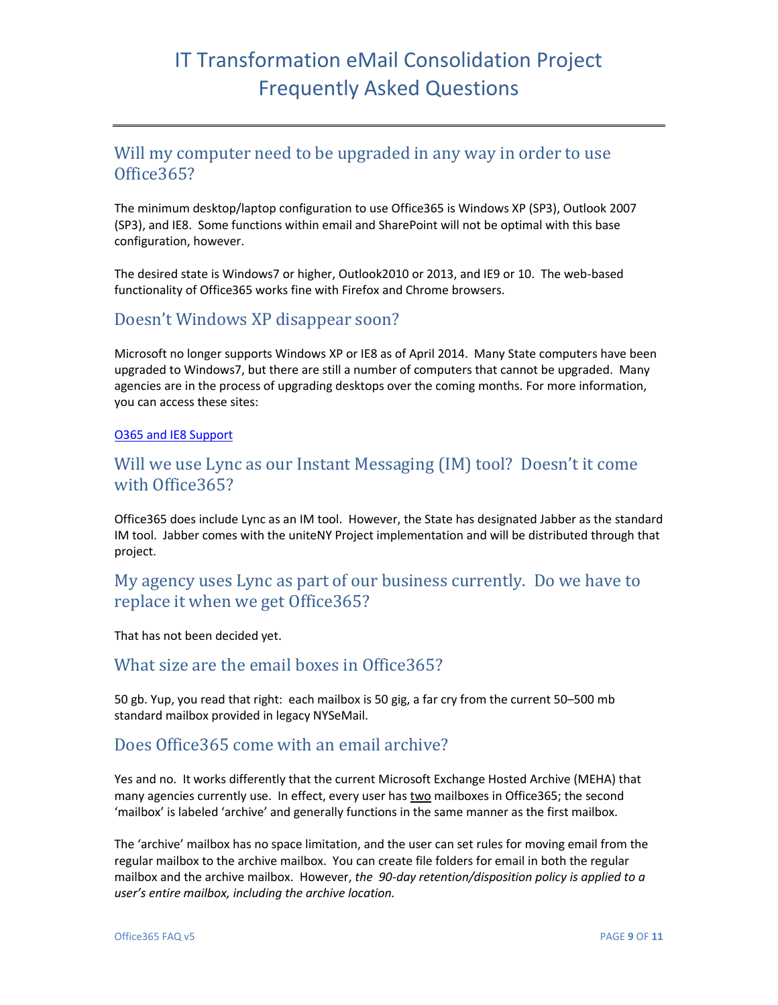#### <span id="page-8-0"></span>Will my computer need to be upgraded in any way in order to use Office365?

The minimum desktop/laptop configuration to use Office365 is Windows XP (SP3), Outlook 2007 (SP3), and IE8. Some functions within email and SharePoint will not be optimal with this base configuration, however.

The desired state is Windows7 or higher, Outlook2010 or 2013, and IE9 or 10. The web-based functionality of Office365 works fine with Firefox and Chrome browsers.

#### <span id="page-8-1"></span>Doesn't Windows XP disappear soon?

Microsoft no longer supports Windows XP or IE8 as of April 2014. Many State computers have been upgraded to Windows7, but there are still a number of computers that cannot be upgraded. Many agencies are in the process of upgrading desktops over the coming months. For more information, you can access these sites:

#### [O365 and IE8 Support](http://community.office365.com/en-us/wikis/manage/office-365-and-internet-explorer-8.aspx)

### <span id="page-8-2"></span>Will we use Lync as our Instant Messaging (IM) tool? Doesn't it come with Office365?

Office365 does include Lync as an IM tool. However, the State has designated Jabber as the standard IM tool. Jabber comes with the uniteNY Project implementation and will be distributed through that project.

### <span id="page-8-3"></span>My agency uses Lync as part of our business currently. Do we have to replace it when we get Office365?

That has not been decided yet.

#### <span id="page-8-4"></span>What size are the email boxes in Office365?

50 gb. Yup, you read that right: each mailbox is 50 gig, a far cry from the current 50–500 mb standard mailbox provided in legacy NYSeMail.

#### <span id="page-8-5"></span>Does Office365 come with an email archive?

Yes and no. It works differently that the current Microsoft Exchange Hosted Archive (MEHA) that many agencies currently use. In effect, every user has two mailboxes in Office365; the second 'mailbox' is labeled 'archive' and generally functions in the same manner as the first mailbox.

The 'archive' mailbox has no space limitation, and the user can set rules for moving email from the regular mailbox to the archive mailbox. You can create file folders for email in both the regular mailbox and the archive mailbox. However, *the 90-day retention/disposition policy is applied to a user's entire mailbox, including the archive location.*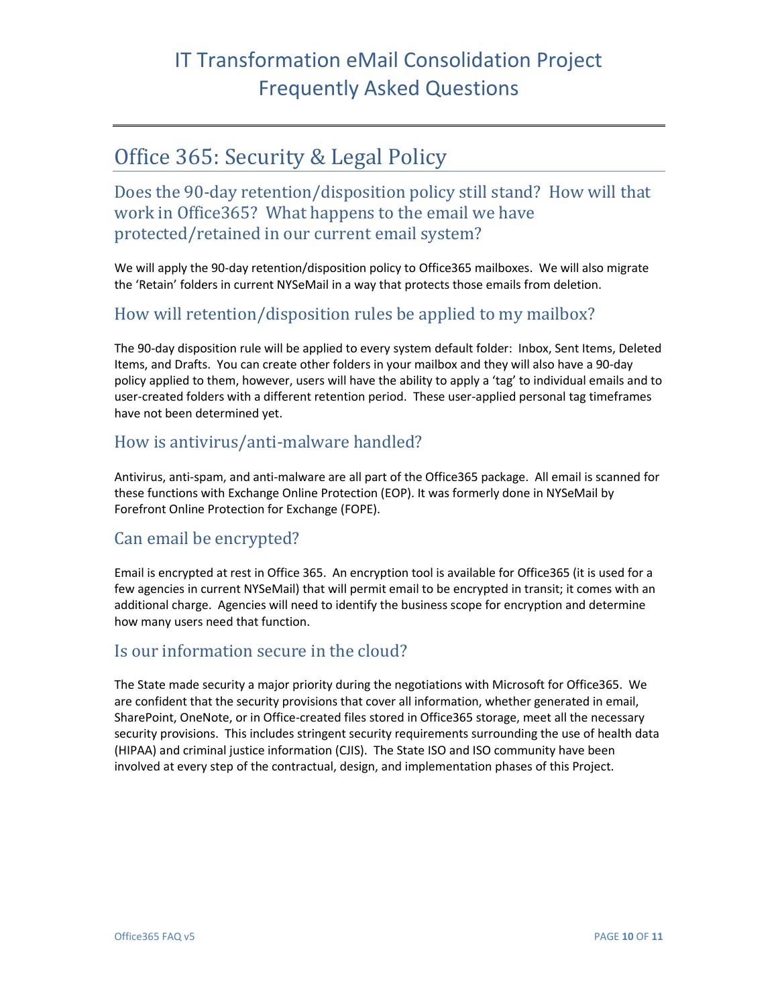## <span id="page-9-0"></span>Office 365: Security & Legal Policy

<span id="page-9-1"></span>Does the 90-day retention/disposition policy still stand? How will that work in Office365? What happens to the email we have protected/retained in our current email system?

We will apply the 90-day retention/disposition policy to Office365 mailboxes. We will also migrate the 'Retain' folders in current NYSeMail in a way that protects those emails from deletion.

#### <span id="page-9-2"></span>How will retention/disposition rules be applied to my mailbox?

The 90-day disposition rule will be applied to every system default folder: Inbox, Sent Items, Deleted Items, and Drafts. You can create other folders in your mailbox and they will also have a 90-day policy applied to them, however, users will have the ability to apply a 'tag' to individual emails and to user-created folders with a different retention period. These user-applied personal tag timeframes have not been determined yet.

### <span id="page-9-3"></span>How is antivirus/anti-malware handled?

Antivirus, anti-spam, and anti-malware are all part of the Office365 package. All email is scanned for these functions with Exchange Online Protection (EOP). It was formerly done in NYSeMail by Forefront Online Protection for Exchange (FOPE).

### <span id="page-9-4"></span>Can email be encrypted?

Email is encrypted at rest in Office 365. An encryption tool is available for Office365 (it is used for a few agencies in current NYSeMail) that will permit email to be encrypted in transit; it comes with an additional charge. Agencies will need to identify the business scope for encryption and determine how many users need that function.

### <span id="page-9-5"></span>Is our information secure in the cloud?

The State made security a major priority during the negotiations with Microsoft for Office365. We are confident that the security provisions that cover all information, whether generated in email, SharePoint, OneNote, or in Office-created files stored in Office365 storage, meet all the necessary security provisions. This includes stringent security requirements surrounding the use of health data (HIPAA) and criminal justice information (CJIS). The State ISO and ISO community have been involved at every step of the contractual, design, and implementation phases of this Project.